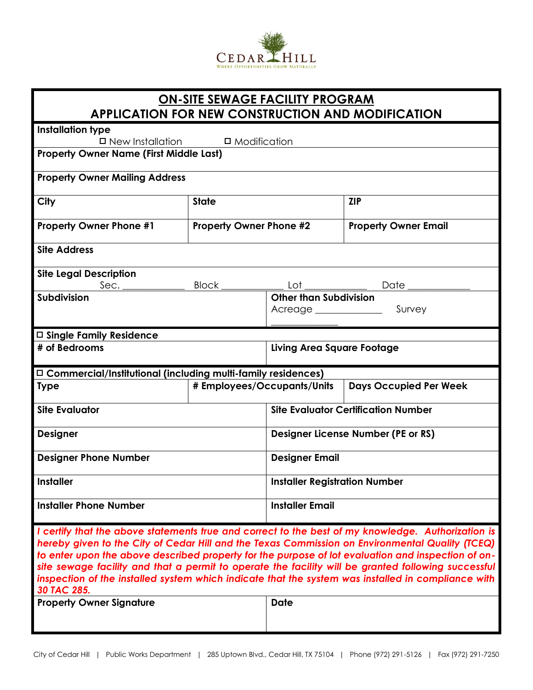

## **ON-SITE SEWAGE FACILITY PROGRAM APPLICATION FOR NEW CONSTRUCTION AND MODIFICATION**

**Installation type**

 $\Box$  New Installation  $\Box$  Modification

**Property Owner Name (First Middle Last)**

| <b>Property Owner Mailing Address</b> |
|---------------------------------------|
|---------------------------------------|

| City                                                                | <b>State</b>                      |                                      | <b>ZIP</b>                                 |  |
|---------------------------------------------------------------------|-----------------------------------|--------------------------------------|--------------------------------------------|--|
| <b>Property Owner Phone #1</b>                                      | <b>Property Owner Phone #2</b>    |                                      | <b>Property Owner Email</b>                |  |
| <b>Site Address</b>                                                 |                                   |                                      |                                            |  |
| <b>Site Legal Description</b>                                       |                                   |                                      |                                            |  |
|                                                                     |                                   |                                      |                                            |  |
| Subdivision                                                         |                                   | <b>Other than Subdivision</b>        |                                            |  |
|                                                                     |                                   |                                      |                                            |  |
|                                                                     |                                   |                                      |                                            |  |
| $\Box$ Single Family Residence                                      |                                   |                                      |                                            |  |
| # of Bedrooms                                                       | <b>Living Area Square Footage</b> |                                      |                                            |  |
|                                                                     |                                   |                                      |                                            |  |
| $\Box$ Commercial/Institutional (including multi-family residences) |                                   |                                      |                                            |  |
| <b>Type</b>                                                         | # Employees/Occupants/Units       |                                      | <b>Days Occupied Per Week</b>              |  |
| <b>Site Evaluator</b>                                               |                                   |                                      | <b>Site Evaluator Certification Number</b> |  |
| <b>Designer</b>                                                     |                                   |                                      | <b>Designer License Number (PE or RS)</b>  |  |
| <b>Designer Phone Number</b>                                        |                                   | <b>Designer Email</b>                |                                            |  |
| <b>Installer</b>                                                    |                                   | <b>Installer Registration Number</b> |                                            |  |

*I certify that the above statements true and correct to the best of my knowledge. Authorization is hereby given to the City of Cedar Hill and the Texas Commission on Environmental Quality (TCEQ) to enter upon the above described property for the purpose of lot evaluation and inspection of onsite sewage facility and that a permit to operate the facility will be granted following successful inspection of the installed system which indicate that the system was installed in compliance with 30 TAC 285.*

| <b>Property Owner Signature</b> | <b>Date</b> |
|---------------------------------|-------------|
|                                 |             |
|                                 |             |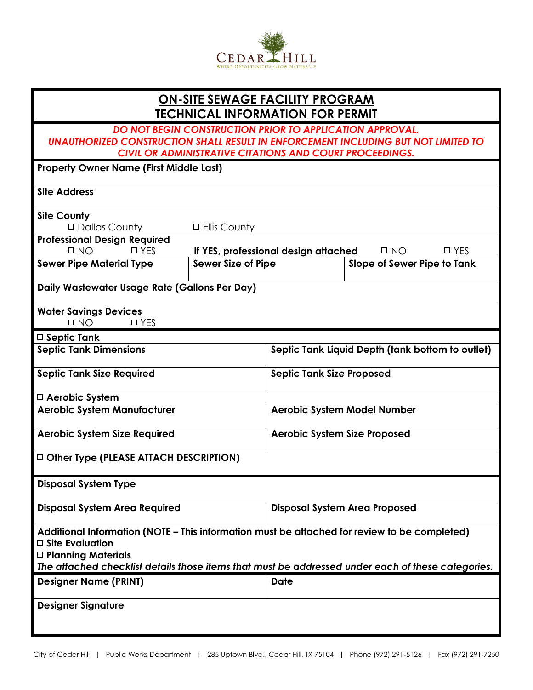

## **ON-SITE SEWAGE FACILITY PROGRAM TECHNICAL INFORMATION FOR PERMIT**

## *DO NOT BEGIN CONSTRUCTION PRIOR TO APPLICATION APPROVAL. UNAUTHORIZED CONSTRUCTION SHALL RESULT IN ENFORCEMENT INCLUDING BUT NOT LIMITED TO CIVIL OR ADMINISTRATIVE CITATIONS AND COURT PROCEEDINGS.*

| <b>Property Owner Name (First Middle Last)</b> |                |  |
|------------------------------------------------|----------------|--|
| <b>Site Address</b>                            |                |  |
| <b>Site County</b>                             |                |  |
| □ Dallas County                                | □ Ellis County |  |

| <b>Professional Design Required</b> |              |                                      |  |                             |            |
|-------------------------------------|--------------|--------------------------------------|--|-----------------------------|------------|
| $\Box$ NO                           | <b>D</b> YFS | If YES, professional design attached |  | $\Box$ NO                   | $\Box$ YES |
| <b>Sewer Pipe Material Type</b>     |              | Sewer Size of Pipe                   |  | Slope of Sewer Pipe to Tank |            |

| Daily Wastewater Usage Rate (Gallons Per Day) |  |
|-----------------------------------------------|--|
|-----------------------------------------------|--|

| <b>Water Savings Devices</b> |               |
|------------------------------|---------------|
| <b>D</b> NO                  | $\square$ YES |

| ┚ | . .<br>__ |
|---|-----------|
|   |           |
|   |           |

| $\Box$ Septic Tank               |                                                  |
|----------------------------------|--------------------------------------------------|
| <b>Septic Tank Dimensions</b>    | Septic Tank Liquid Depth (tank bottom to outlet) |
| <b>Septic Tank Size Required</b> | <b>Septic Tank Size Proposed</b>                 |

| $\Box$ Aerobic System               |                                    |
|-------------------------------------|------------------------------------|
| <b>Aerobic System Manufacturer</b>  | <b>Aerobic System Model Number</b> |
| <b>Aerobic System Size Required</b> | Aerobic System Size Proposed       |

# **Other Type (PLEASE ATTACH DESCRIPTION)**

| <b>Disposal System Area Required</b> | Disposal System Area Proposed |
|--------------------------------------|-------------------------------|
|                                      |                               |

| Additional Information (NOTE – This information must be attached for review to be completed) |  |
|----------------------------------------------------------------------------------------------|--|
| $\Box$ Site Evaluation                                                                       |  |
| $\square$ Planning Materials                                                                 |  |

| The attached checklist details those items that must be addressed under each of these categories. |
|---------------------------------------------------------------------------------------------------|
|                                                                                                   |

| <b>Designer Name (PRINT)</b>              | Date |
|-------------------------------------------|------|
|                                           |      |
| $\overline{\phantom{0}}$<br>$\sim$ $\sim$ |      |

| <b>Designer Signature</b> |  |  |
|---------------------------|--|--|
|---------------------------|--|--|